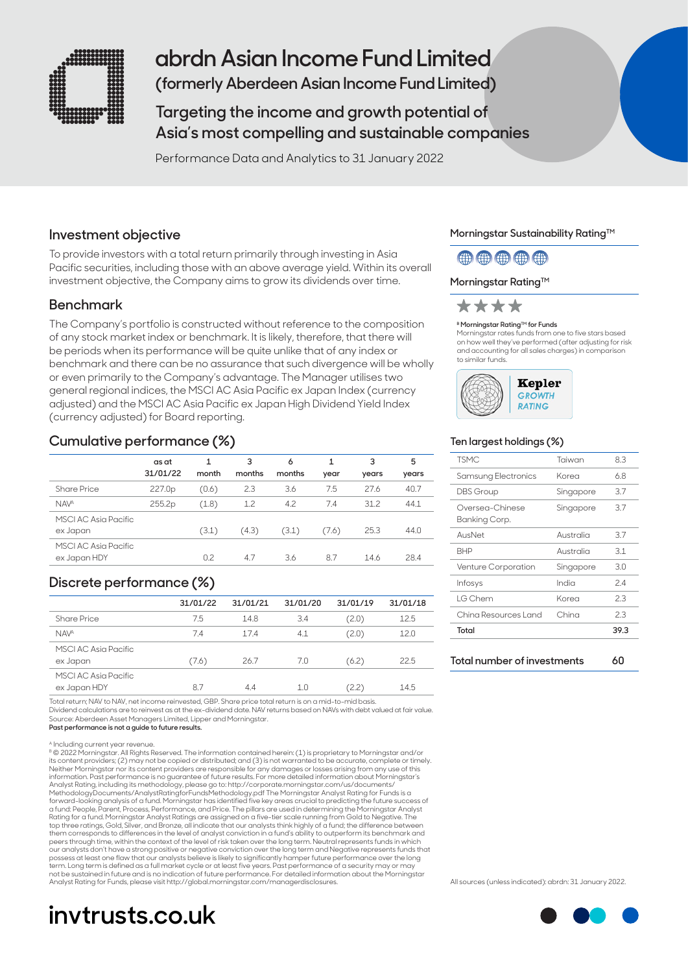

## **abrdn Asian Income Fund Limited**

**(formerly Aberdeen Asian Income Fund Limited)**

**Targeting the income and growth potential of Asia's most compelling and sustainable companies** 

Performance Data and Analytics to 31 January 2022

## **Investment objective**

To provide investors with a total return primarily through investing in Asia Pacific securities, including those with an above average yield. Within its overall investment objective, the Company aims to grow its dividends over time.

### **Benchmark**

The Company's portfolio is constructed without reference to the composition of any stock market index or benchmark. It is likely, therefore, that there will be periods when its performance will be quite unlike that of any index or benchmark and there can be no assurance that such divergence will be wholly or even primarily to the Company's advantage. The Manager utilises two general regional indices, the MSCI AC Asia Pacific ex Japan Index (currency adjusted) and the MSCI AC Asia Pacific ex Japan High Dividend Yield Index (currency adjusted) for Board reporting.

## **Cumulative performance (%)**

|                                      | as at<br>31/01/22 | month | 3<br>months | 6<br>months | year  | 3<br>years | 5<br>years |
|--------------------------------------|-------------------|-------|-------------|-------------|-------|------------|------------|
| Share Price                          | 227.0p            | (0.6) | 2.3         | 3.6         | 7.5   | 27.6       | 40.7       |
| <b>NAVA</b>                          | 255.2p            | (1.8) | 1.2         | 4.2         | 7.4   | 31.2       | 44.1       |
| MSCI AC Asia Pacific<br>ex Japan     |                   | (3.1) | (4.3)       | (3.1)       | (7.6) | 25.3       | 44.0       |
| MSCI AC Asia Pacific<br>ex Japan HDY |                   | 0.2   | 4.7         | 3.6         | 8.7   | 14.6       | 28.4       |

## **Discrete performance (%)**

|                                      | 31/01/22 | 31/01/21 | 31/01/20 | 31/01/19 | 31/01/18 |
|--------------------------------------|----------|----------|----------|----------|----------|
| <b>Share Price</b>                   | 7.5      | 14.8     | 3.4      | (2.0)    | 12.5     |
| <b>NAVA</b>                          | 7.4      | 17.4     | 4.1      | (2.0)    | 12.0     |
| MSCI AC Asia Pacific<br>ex Japan     | (7.6)    | 26.7     | 7.0      | (6.2)    | 22.5     |
| MSCI AC Asia Pacific<br>ex Japan HDY | 8.7      | 4.4      |          | 2.21     | 14.5     |

Total return; NAV to NAV, net income reinvested, GBP. Share price total return is on a mid-to-mid basis. Dividend calculations are to reinvest as at the ex-dividend date. NAV returns based on NAVs with debt valued at fair value.

Source: Aberdeen Asset Managers Limited, Lipper and Morningstar. **Past performance is not a guide to future results.**

A Including current year revenue.

B © 2022 Morningstar. All Rights Reserved. The information contained herein: (1) is proprietary to Morningstar and/or its content providers; (2) may not be copied or distributed; and (3) is not warranted to be accurate, complete or timely.<br>Neither Morningstar nor its content providers are responsible for any damages or losses arising from information. Past performance is no guarantee of future results. For more detailed information about Morningstar's<br>Analyst Rating, including its methodology, please go to: http://corporate.morningstar.com/us/documents/<br>Met top three ratings, Gold, Silver, and Bronze, all indicate that our analysts think highly of a fund; the difference between<br>them corresponds to differences in the level of analyst conviction in a fund's ability to outperfor our analysts don't have a strong positive or negative conviction over the long term and Negative represents funds that possess at least one flaw that our analysts believe is likely to significantly hamper future performance over the long<br>term. Long term is defined as a full market cycle or at least five years. Past performance of a securit not be sustained in future and is no indication of future performance. For detailed information about the Morningstar<br>Analyst Rating for Funds, please visit http://global.morningstar.com/managerdisclosures.

# **invtrusts.co.uk**

### **Morningstar Sustainability Rating™**

## (#) (#) (#) (#)

### **Morningstar Rating™**



#### **B Morningstar Rating™ for Funds**

Morningstar rates funds from one to five stars based on how well they've performed (after adjusting for risk and accounting for all sales charges) in comparison to similar funds.



### **Ten largest holdings (%)**

| <b>TSMC</b>                      | Taiwan    | 8.3  |
|----------------------------------|-----------|------|
| Samsung Electronics              | Korea     | 6.8  |
| <b>DBS</b> Group                 | Singapore | 3.7  |
| Oversea-Chinese<br>Banking Corp. | Singapore | 3.7  |
| AusNet                           | Australia | 3.7  |
| <b>BHP</b>                       | Australia | 3.1  |
| Venture Corporation              | Singapore | 3.0  |
| Infosys                          | India     | 24   |
| I G Chem                         | Korea     | 2.3  |
| Ching Resources Land             | China     | 23   |
| Total                            |           | 39.3 |
|                                  |           |      |

All sources (unless indicated): abrdn: 31 January 2022.

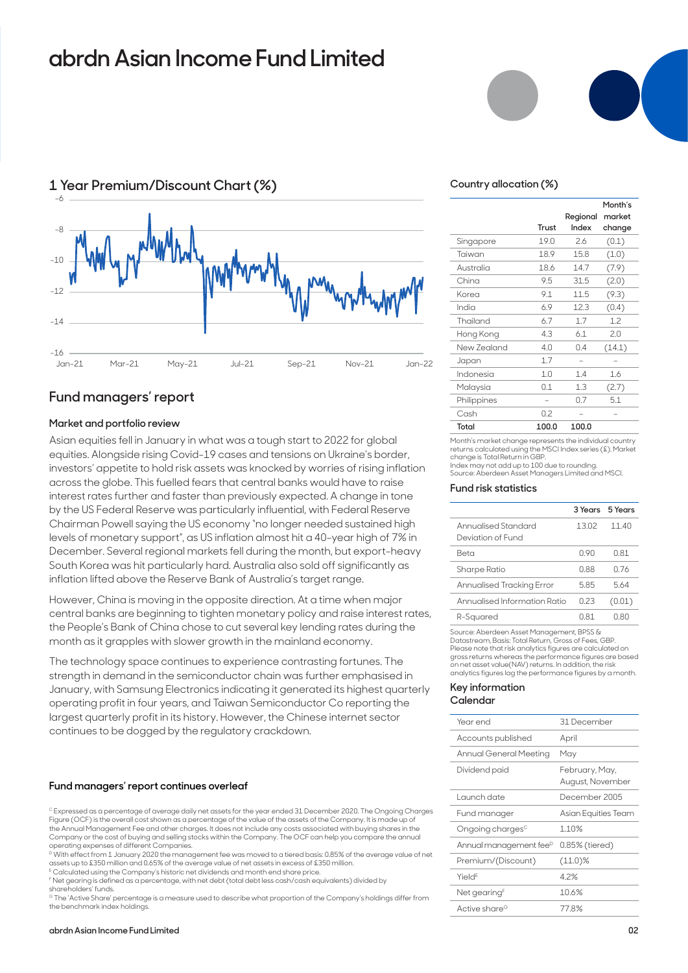## **abrdn Asian Income Fund Limited**



## **1 Year Premium/Discount Chart (%)**

### **Fund managers' report**

### **Market and portfolio review**

Asian equities fell in January in what was a tough start to 2022 for global equities. Alongside rising Covid-19 cases and tensions on Ukraine's border, investors' appetite to hold risk assets was knocked by worries of rising inflation across the globe. This fuelled fears that central banks would have to raise interest rates further and faster than previously expected. A change in tone by the US Federal Reserve was particularly influential, with Federal Reserve Chairman Powell saying the US economy "no longer needed sustained high levels of monetary support", as US inflation almost hit a 40-year high of 7% in December. Several regional markets fell during the month, but export-heavy South Korea was hit particularly hard. Australia also sold off significantly as inflation lifted above the Reserve Bank of Australia's target range.

However, China is moving in the opposite direction. At a time when major central banks are beginning to tighten monetary policy and raise interest rates, the People's Bank of China chose to cut several key lending rates during the month as it grapples with slower growth in the mainland economy.

The technology space continues to experience contrasting fortunes. The strength in demand in the semiconductor chain was further emphasised in January, with Samsung Electronics indicating it generated its highest quarterly operating profit in four years, and Taiwan Semiconductor Co reporting the largest quarterly profit in its history. However, the Chinese internet sector continues to be dogged by the regulatory crackdown.

#### **Fund managers' report continues overleaf**

C Expressed as a percentage of average daily net assets for the year ended 31 December 2020. The Ongoing Charges Figure (OCF) is the overall cost shown as a percentage of the value of the assets of the Company. It is made up of the Annual Management Fee and other charges. It does not include any costs associated with buying shares in the Company or the cost of buying and selling stocks within the Company. The OCF can help you compare the annual operating expenses of different Companies.

D With effect from 1 January 2020 the management fee was moved to a tiered basis: 0.85% of the average value of net assets up to £350 million and 0.65% of the average value of net assets in excess of £350 million.

E Calculated using the Company's historic net dividends and month end share price.

F Net gearing is defined as a percentage, with net debt (total debt less cash/cash equivalents) divided by shareholders' funds.

G The 'Active Share' percentage is a measure used to describe what proportion of the Company's holdings differ from the benchmark index holdings.



### **Country allocation (%)**

|             | Trust | Regional<br>Index | Month's<br>market<br>change |
|-------------|-------|-------------------|-----------------------------|
|             | 19.0  | 26                | (0.1)                       |
| Singapore   |       |                   |                             |
| Taiwan      | 18.9  | 15.8              | (1.0)                       |
| Australia   | 18.6  | 14.7              | (7.9)                       |
| China       | 9.5   | 31.5              | (2.0)                       |
| Korea       | 9.1   | 11.5              | (9.3)                       |
| India       | 6.9   | 12.3              | (0.4)                       |
| Thailand    | 6.7   | 1.7               | 1.2                         |
| Hong Kong   | 4.3   | 6.1               | 2.0                         |
| New Zealand | 4.0   | 0.4               | (14.1)                      |
| Japan       | 1.7   |                   |                             |
| Indonesia   | 1.0   | 1.4               | 1.6                         |
| Malaysia    | 0.1   | 1.3               | (2.7)                       |
| Philippines |       | 0.7               | 5.1                         |
| Cash        | 0.2   |                   |                             |
| Total       | 100.0 | 100.0             |                             |

Month's market change represents the individual country returns calculated using the MSCI Index series (£). Market change is Total Return in GBP. Index may not add up to 100 due to rounding. Source: Aberdeen Asset Managers Limited and MSCI.

#### **Fund risk statistics**

|                                          |      | 3 Years 5 Years |
|------------------------------------------|------|-----------------|
| Annualised Standard<br>Deviation of Fund | 1302 | 11 40           |
| Reta                                     | N 90 | N 81            |
| Sharpe Ratio                             | 0.88 | 0.76            |
| Annualised Tracking Error                | 585  | 564             |
| Annualised Information Ratio             | 023  | (0.01)          |
| R-Squared                                | N 81 | N 80            |

Source: Aberdeen Asset Management, BPSS & Datastream, Basis: Total Return, Gross of Fees, GBP. Please note that risk analytics figures are calculated on gross returns whereas the performance figures are based on net asset value(NAV) returns. In addition, the risk analytics figures lag the performance figures by a month.

### **Key information**

### **Calendar**

| Year end                           | 31 December                        |
|------------------------------------|------------------------------------|
| Accounts published                 | April                              |
| Annual General Meeting             | May                                |
| Dividend paid                      | February, May,<br>August, November |
| Launch date                        | December 2005                      |
| Fund manager                       | Asian Equities Team                |
| Ongoing charges <sup>c</sup>       | 1.10%                              |
| Annual management fee <sup>D</sup> | 0.85% (tiered)                     |
| Premium/(Discount)                 | $(11.0)\%$                         |
| Yield <sup>E</sup>                 | 42%                                |
| Net gearing <sup>F</sup>           | 10.6%                              |
| Active share <sup>G</sup>          | 778%                               |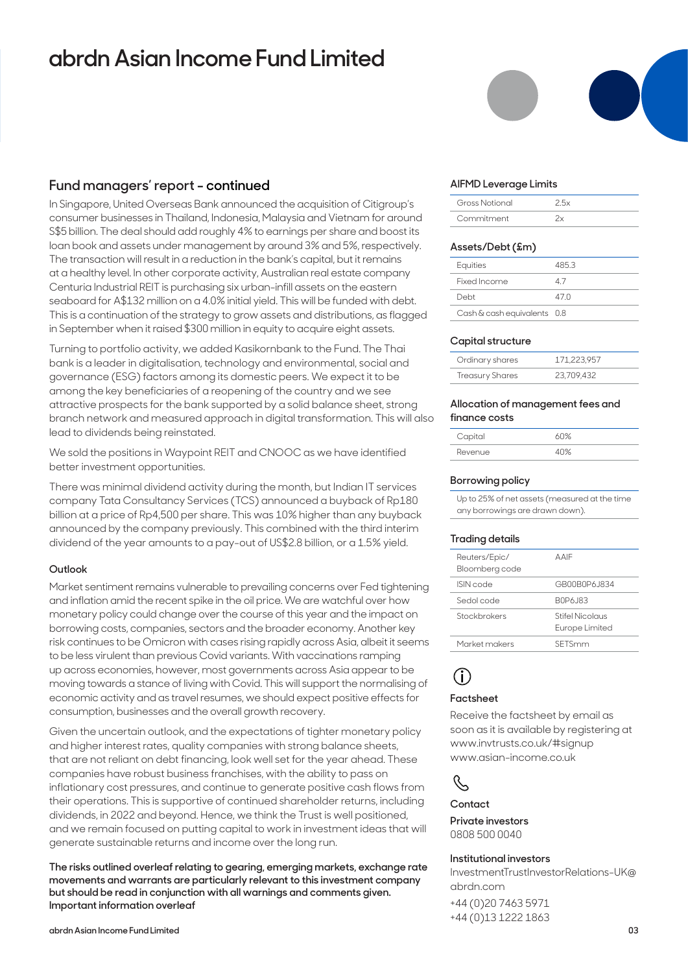## **abrdn Asian Income Fund Limited**

### **Fund managers' report - continued**

In Singapore, United Overseas Bank announced the acquisition of Citigroup's consumer businesses in Thailand, Indonesia, Malaysia and Vietnam for around S\$5 billion. The deal should add roughly 4% to earnings per share and boost its loan book and assets under management by around 3% and 5%, respectively. The transaction will result in a reduction in the bank's capital, but it remains at a healthy level. In other corporate activity, Australian real estate company Centuria Industrial REIT is purchasing six urban-infill assets on the eastern seaboard for A\$132 million on a 4.0% initial yield. This will be funded with debt. This is a continuation of the strategy to grow assets and distributions, as flagged in September when it raised \$300 million in equity to acquire eight assets.

Turning to portfolio activity, we added Kasikornbank to the Fund. The Thai bank is a leader in digitalisation, technology and environmental, social and governance (ESG) factors among its domestic peers. We expect it to be among the key beneficiaries of a reopening of the country and we see attractive prospects for the bank supported by a solid balance sheet, strong branch network and measured approach in digital transformation. This will also lead to dividends being reinstated.

We sold the positions in Waypoint REIT and CNOOC as we have identified better investment opportunities.

There was minimal dividend activity during the month, but Indian IT services company Tata Consultancy Services (TCS) announced a buyback of Rp180 billion at a price of Rp4,500 per share. This was 10% higher than any buyback announced by the company previously. This combined with the third interim dividend of the year amounts to a pay-out of US\$2.8 billion, or a 1.5% yield.

### **Outlook**

Market sentiment remains vulnerable to prevailing concerns over Fed tightening and inflation amid the recent spike in the oil price. We are watchful over how monetary policy could change over the course of this year and the impact on borrowing costs, companies, sectors and the broader economy. Another key risk continues to be Omicron with cases rising rapidly across Asia, albeit it seems to be less virulent than previous Covid variants. With vaccinations ramping up across economies, however, most governments across Asia appear to be moving towards a stance of living with Covid. This will support the normalising of economic activity and as travel resumes, we should expect positive effects for consumption, businesses and the overall growth recovery.

Given the uncertain outlook, and the expectations of tighter monetary policy and higher interest rates, quality companies with strong balance sheets, that are not reliant on debt financing, look well set for the year ahead. These companies have robust business franchises, with the ability to pass on inflationary cost pressures, and continue to generate positive cash flows from their operations. This is supportive of continued shareholder returns, including dividends, in 2022 and beyond. Hence, we think the Trust is well positioned, and we remain focused on putting capital to work in investment ideas that will generate sustainable returns and income over the long run.

**The risks outlined overleaf relating to gearing, emerging markets, exchange rate movements and warrants are particularly relevant to this investment company but should be read in conjunction with all warnings and comments given. Important information overleaf**

### **AIFMD Leverage Limits**

| Gross Notional |  |
|----------------|--|
| Commitment     |  |

### **Assets/Debt (£m)**

| Equities                    | 485.3 |
|-----------------------------|-------|
| Fixed Income                | 47    |
| Debt                        | 47 N  |
| Cash & cash equivalents 0.8 |       |

### **Capital structure**

| Ordinary shares        | 171.223.957 |
|------------------------|-------------|
| <b>Treasury Shares</b> | 23,709,432  |

### **Allocation of management fees and finance costs**

| Capital | ለበ% |
|---------|-----|
| Revenue | 40% |

### **Borrowing policy**

Up to 25% of net assets (measured at the time any borrowings are drawn down).

### **Trading details**

| Reuters/Epic/<br>Bloomberg code | AAIF                                     |
|---------------------------------|------------------------------------------|
| ISIN code                       | GR00B0P6 1834                            |
| Sedol code                      | B0P6.J83                                 |
| Stockbrokers                    | <b>Stifel Nicolaus</b><br>Europe Limited |
| Market makers                   | SETSmm                                   |
|                                 |                                          |

## **i**

### **Factsheet**

Receive the factsheet by email as soon as it is available by registering at www.invtrusts.co.uk/#signup www.asian-income.co.uk



### **Contact**

**Private investors**  0808 500 0040

#### **Institutional investors**

InvestmentTrustInvestorRelations-UK@ abrdn.com

+44 (0)20 7463 5971 +44 (0)13 1222 1863